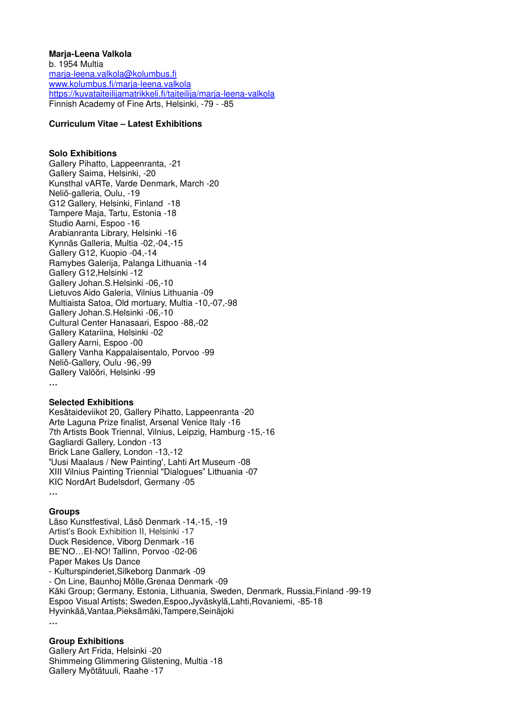#### **Marja-Leena Valkola**

b. 1954 Multia [marja-leena.valkola@kolumbus.fi](mailto:marja-leena.valkola@kolumbus.fi) [www.kolumbus.fi/marja-leena.valkola](http://www.kolumbus.fi/marja-leena.valkola) <https://kuvataiteilijamatrikkeli.fi/taiteilija/marja-leena-valkola> Finnish Academy of Fine Arts, Helsinki, -79 - -85

### **Curriculum Vitae – Latest Exhibitions**

#### **Solo Exhibitions**

Gallery Pihatto, Lappeenranta, -21 Gallery Saima, Helsinki, -20 Kunsthal vARTe, Varde Denmark, March -20 Neliö-galleria, Oulu, -19 G12 Gallery, Helsinki, Finland -18 Tampere Maja, Tartu, Estonia -18 Studio Aarni, Espoo -16 Arabianranta Library, Helsinki -16 Kynnäs Galleria, Multia -02,-04,-15 Gallery G12, Kuopio -04,-14 Ramybes Galerija, Palanga Lithuania -14 Gallery G12,Helsinki -12 Gallery Johan.S.Helsinki -06,-10 Lietuvos Aido Galeria, Vilnius Lithuania -09 Multiaista Satoa, Old mortuary, Multia -10,-07,-98 Gallery Johan.S.Helsinki -06,-10 Cultural Center Hanasaari, Espoo -88,-02 Gallery Katariina, Helsinki -02 Gallery Aarni, Espoo -00 Gallery Vanha Kappalaisentalo, Porvoo -99 Neliö-Gallery, Oulu -96,-99 Gallery Valööri, Helsinki -99 **…**

#### **Selected Exhibitions**

Kesätaideviikot 20, Gallery Pihatto, Lappeenranta -20 Arte Laguna Prize finalist, Arsenal Venice Italy -16 7th Artists Book Triennal, Vilnius, Leipzig, Hamburg -15,-16 Gagliardi Gallery, London -13 Brick Lane Gallery, London -13,-12 **'**Uusi Maalaus / New Painting', Lahti Art Museum -08 XIII Vilnius Painting Triennial "Dialogues" Lithuania -07 KIC NordArt Budelsdorf, Germany -05 **…**

# **Groups**

Läso Kunstfestival, Läsö Denmark -14,-15, -19 Artist's Book Exhibition II, Helsinki -17 Duck Residence, Viborg Denmark -16 BE'NO…EI-NO! Tallinn, Porvoo -02-06 Paper Makes Us Dance - Kulturspinderiet,Silkeborg Danmark -09 - On Line, Baunhoj Mölle,Grenaa Denmark -09 Käki Group; Germany, Estonia, Lithuania, Sweden, Denmark, Russia,Finland -99-19 Espoo Visual Artists; Sweden,Espoo,Jyväskylä,Lahti,Rovaniemi, -85-18 Hyvinkää,Vantaa,Pieksämäki,Tampere,Seinäjoki **…**

# **Group Exhibitions**

Gallery Art Frida, Helsinki -20 Shimmeing Glimmering Glistening, Multia -18 Gallery Myötätuuli, Raahe -17